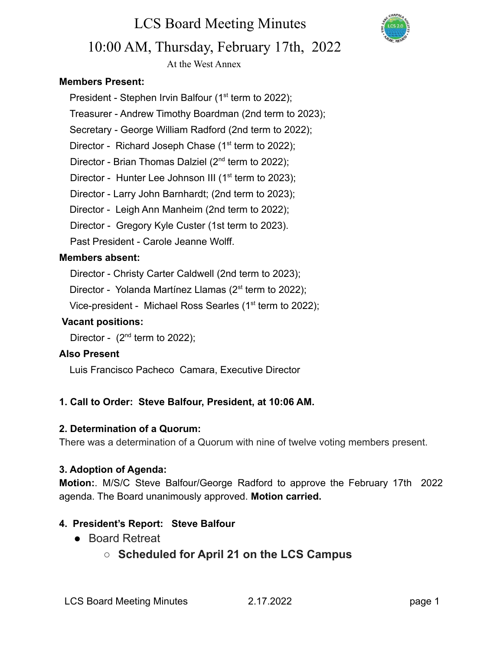

# 10:00 AM, Thursday, February 17th, 2022

LCS Board Meeting Minutes

At the West Annex

#### **Members Present:**

President - Stephen Irvin Balfour ( $1<sup>st</sup>$  term to 2022);

- Treasurer Andrew Timothy Boardman (2nd term to 2023);
- Secretary George William Radford (2nd term to 2022);

Director - Richard Joseph Chase  $(1<sup>st</sup>$  term to 2022);

Director - Brian Thomas Dalziel  $(2^{nd}$  term to 2022);

Director - Hunter Lee Johnson III ( $1<sup>st</sup>$  term to 2023);

Director - Larry John Barnhardt; (2nd term to 2023);

Director - Leigh Ann Manheim (2nd term to 2022);

Director - Gregory Kyle Custer (1st term to 2023).

Past President - Carole Jeanne Wolff.

#### **Members absent:**

Director - Christy Carter Caldwell (2nd term to 2023);

Director - Yolanda Martínez Llamas ( $2^{st}$  term to 2022);

Vice-president - Michael Ross Searles (1<sup>st</sup> term to 2022);

#### **Vacant positions:**

Director -  $(2^{nd}$  term to 2022);

#### **Also Present**

Luis Francisco Pacheco Camara, Executive Director

#### **1. Call to Order: Steve Balfour, President, at 10:06 AM.**

#### **2. Determination of a Quorum:**

There was a determination of a Quorum with nine of twelve voting members present.

#### **3. Adoption of Agenda:**

**Motion:**. M/S/C Steve Balfour/George Radford to approve the February 17th 2022 agenda. The Board unanimously approved. **Motion carried.**

#### **4. President's Report: Steve Balfour**

- Board Retreat
	- **○ Scheduled for April 21 on the LCS Campus**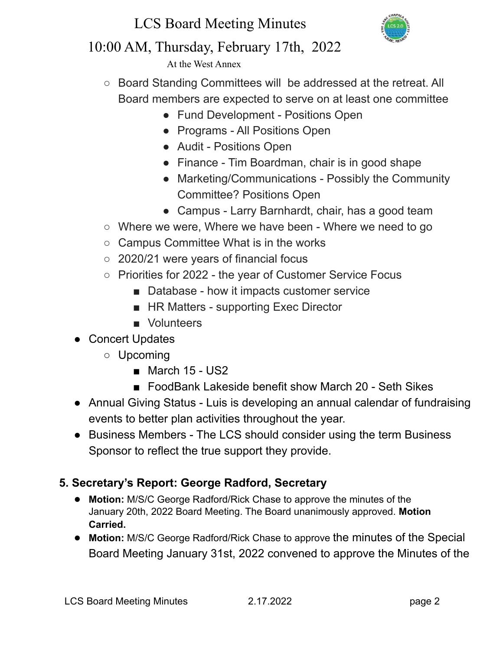## LCS Board Meeting Minutes



### 10:00 AM, Thursday, February 17th, 2022

At the West Annex

- Board Standing Committees will be addressed at the retreat. All Board members are expected to serve on at least one committee
	- Fund Development Positions Open
	- Programs All Positions Open
	- Audit Positions Open
	- Finance Tim Boardman, chair is in good shape
	- Marketing/Communications Possibly the Community Committee? Positions Open
	- Campus Larry Barnhardt, chair, has a good team
- Where we were, Where we have been Where we need to go
- Campus Committee What is in the works
- 2020/21 were years of financial focus
- Priorities for 2022 the year of Customer Service Focus
	- Database how it impacts customer service
	- HR Matters supporting Exec Director
	- Volunteers
- Concert Updates
	- Upcoming
		- March 15 US2
		- FoodBank Lakeside benefit show March 20 Seth Sikes
- Annual Giving Status Luis is developing an annual calendar of fundraising events to better plan activities throughout the year.
- Business Members The LCS should consider using the term Business Sponsor to reflect the true support they provide.

### **5. Secretary's Report: George Radford, Secretary**

- **Motion:** M/S/C George Radford/Rick Chase to approve the minutes of the January 20th, 2022 Board Meeting. The Board unanimously approved. **Motion Carried.**
- **Motion:** M/S/C George Radford/Rick Chase to approve the minutes of the Special Board Meeting January 31st, 2022 convened to approve the Minutes of the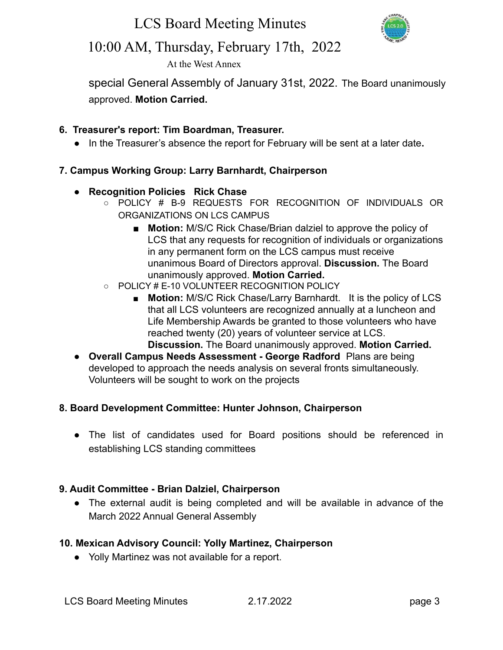LCS Board Meeting Minutes



### 10:00 AM, Thursday, February 17th, 2022

At the West Annex

special General Assembly of January 31st, 2022. The Board unanimously approved. **Motion Carried.**

#### **6. Treasurer's report: Tim Boardman, Treasurer.**

**●** In the Treasurer's absence the report for February will be sent at a later date**.**

#### **7. Campus Working Group: Larry Barnhardt, Chairperson**

- **● Recognition Policies Rick Chase**
	- POLICY # B-9 REQUESTS FOR RECOGNITION OF INDIVIDUALS OR ORGANIZATIONS ON LCS CAMPUS
		- **Motion:** M/S/C Rick Chase/Brian dalziel to approve the policy of LCS that any requests for recognition of individuals or organizations in any permanent form on the LCS campus must receive unanimous Board of Directors approval. **Discussion.** The Board unanimously approved. **Motion Carried.**
	- POLICY # E-10 VOLUNTEER RECOGNITION POLICY
		- **Motion:** M/S/C Rick Chase/Larry Barnhardt. It is the policy of LCS that all LCS volunteers are recognized annually at a luncheon and Life Membership Awards be granted to those volunteers who have reached twenty (20) years of volunteer service at LCS. **Discussion.** The Board unanimously approved. **Motion Carried.**
- **Overall Campus Needs Assessment George Radford** Plans are being developed to approach the needs analysis on several fronts simultaneously. Volunteers will be sought to work on the projects

#### **8. Board Development Committee: Hunter Johnson, Chairperson**

● The list of candidates used for Board positions should be referenced in establishing LCS standing committees

#### **9. Audit Committee - Brian Dalziel, Chairperson**

● The external audit is being completed and will be available in advance of the March 2022 Annual General Assembly

#### **10. Mexican Advisory Council: Yolly Martinez, Chairperson**

● Yolly Martinez was not available for a report.